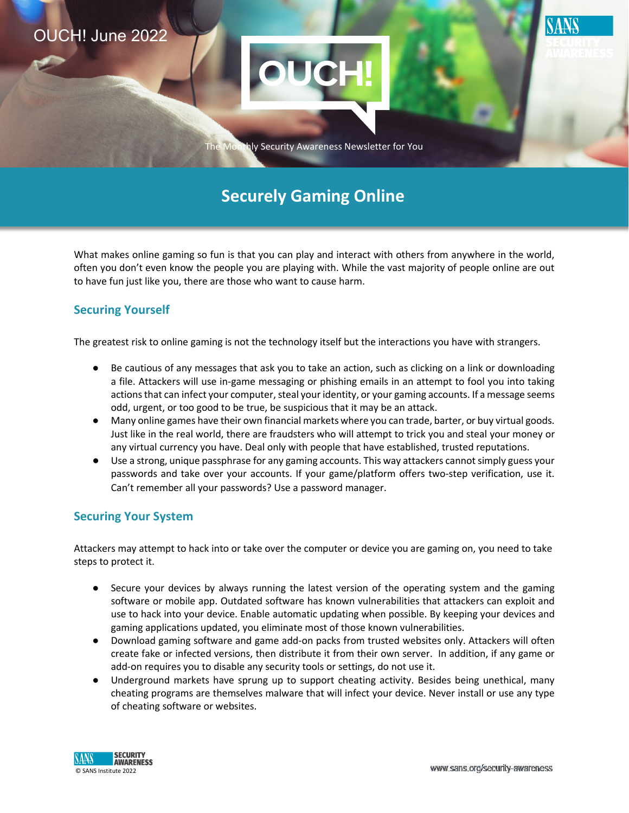

# **Securely Gaming Online**

 often you don't even know the people you are playing with. While the vast majority of people online are out What makes online gaming so fun is that you can play and interact with others from anywhere in the world, to have fun just like you, there are those who want to cause harm.

## **Securing Yourself**

The greatest risk to online gaming is not the technology itself but the interactions you have with strangers.

- actions that can infect your computer, steal your identity, or your gaming accounts. If a message seems Be cautious of any messages that ask you to take an action, such as clicking on a link or downloading a file. Attackers will use in-game messaging or phishing emails in an attempt to fool you into taking odd, urgent, or too good to be true, be suspicious that it may be an attack.
- ● Many online games have their own financial markets where you can trade, barter, or buy virtual goods. any virtual currency you have. Deal only with people that have established, trusted reputations. Just like in the real world, there are fraudsters who will attempt to trick you and steal your money or
- passwords and take over your accounts. If your game/platform offers two-step verification, use it. ● Use a strong, unique passphrase for any gaming accounts. This way attackers cannot simply guess your Can't remember all your passwords? Use a password manager.

## **Securing Your System**

Attackers may attempt to hack into or take over the computer or device you are gaming on, you need to take steps to protect it.

- Secure your devices by always running the latest version of the operating system and the gaming software or mobile app. Outdated software has known vulnerabilities that attackers can exploit and use to hack into your device. Enable automatic updating when possible. By keeping your devices and gaming applications updated, you eliminate most of those known vulnerabilities.
- create fake or infected versions, then distribute it from their own server. In addition, if any game or ● Download gaming software and game add-on packs from trusted websites only. Attackers will often add-on requires you to disable any security tools or settings, do not use it.
- Underground markets have sprung up to support cheating activity. Besides being unethical, many cheating programs are themselves malware that will infect your device. Never install or use any type of cheating software or websites.